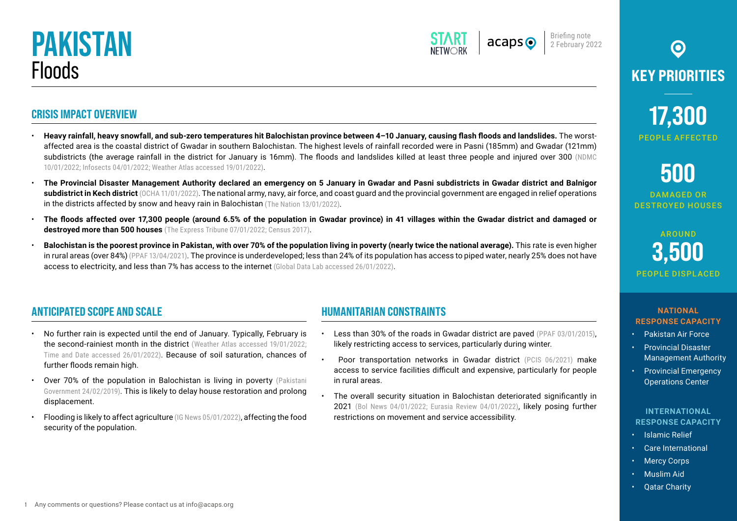**CRISIS IMPACT OVERVIEW**



Briefing note 2 February 2022

# $\odot$ **KEY PRIORITIES**

**17,300** PEOPLE AFFECTED

# **500**

DAMAGED OR DESTROYED HOUSES

## **AROUND 3,500** PEOPLE DISPLACED

### **ANTICIPATED SCOPE AND SCALE**

• No further rain is expected until the end of January. Typically, February is the second-rainiest month in the district (Weather Atlas accessed 19/01/2022; [Time and Date accessed 26/01/2022](https://www.timeanddate.com/weather/@11065562/ext)). Because of soil saturation, chances of further floods remain high.

[10/01/2022;](https://ndmc.pmd.gov.pk/new/assets/bulletins/1641813443.pdf) [Infosects 04/01/2022;](https://www.infosects.com/2022/01/balochistan-hit-with-heavy-rainfall.html) Weather Atlas accessed 19/01/2022).

in the districts affected by snow and heavy rain in Balochistan ([The Nation 13/01/2022](https://nation.com.pk/13-Jan-2022/relief-operation-continues-in-rain-affected-areas-under-pak-army-other-forces-langu)).

access to electricity, and less than 7% has access to the internet [\(Global Data Lab accessed 26/01/2022\)](https://globaldatalab.org/profiles/region/PAKr104/).

**destroyed more than 500 houses** ([The Express Tribune 07/01/2022;](https://tribune.com.pk/story/2337527/2478-families-hit-by-rains-floods-in-gwadar) [Census 2017\)](https://www.pbs.gov.pk/sites/default/files/population_census/census_2017_tables/balochistan/Table01p.pdf).

- Over 70% of the population in Balochistan is living in poverty [\(Pakistani](https://reliefweb.int/report/pakistan/balochistan-drought-needs-assessment-bdna-report-february-2019) [Government 24/02/2019\)](https://reliefweb.int/report/pakistan/balochistan-drought-needs-assessment-bdna-report-february-2019). This is likely to delay house restoration and prolong displacement.
- Flooding is likely to affect agriculture [\(IG News 05/01/2022](https://irshadgul.com/the-rains-in-balochistan-have-stopped-leaving-the-story-of-destruction/)), affecting the food security of the population.

### **HUMANITARIAN CONSTRAINTS**

• **Heavy rainfall, heavy snowfall, and sub-zero temperatures hit Balochistan province between 4–10 January, causing flash floods and landslides.** The worstaffected area is the coastal district of Gwadar in southern Balochistan. The highest levels of rainfall recorded were in Pasni (185mm) and Gwadar (121mm) subdistricts (the average rainfall in the district for January is 16mm). The floods and landslides killed at least three people and injured over 300 ([NDMC](https://ndmc.pmd.gov.pk/new/assets/bulletins/1641813443.pdf) 

• **The Provincial Disaster Management Authority declared an emergency on 5 January in Gwadar and Pasni subdistricts in Gwadar district and Balnigor subdistrict in Kech district** ([OCHA 11/01/2022\)](https://reliefweb.int/report/philippines/asia-and-pacific-weekly-regional-humanitarian-snapshot-4-10-january-2022). The national army, navy, air force, and coast guard and the provincial government are engaged in relief operations

• **The floods affected over 17,300 people (around 6.5% of the population in Gwadar province) in 41 villages within the Gwadar district and damaged or** 

• **Balochistan is the poorest province in Pakistan, with over 70% of the population living in poverty (nearly twice the national average).** This rate is even higher in rural areas (over 84%) [\(PPAF 13/04/2021\)](https://www.ppaf.org.pk/doc/Balochistan%20Strategy%20_2020.pdf). The province is underdeveloped; less than 24% of its population has access to piped water, nearly 25% does not have

- Less than 30% of the roads in Gwadar district are paved ([PPAF 03/01/2015](https://www.ppaf.org.pk/doc/programmes/Situational%20Analysis%20Report%20of%20PPR%20-%20District%20Profile%20Gwadar.pdf)), likely restricting access to services, particularly during winter.
- Poor transportation networks in Gwadar district ([PCIS 06/2021\)](https://su.edu.pk/upload/Publications/PICS%20June%2016-30,%202021_1625121036.pdf) make access to service facilities difficult and expensive, particularly for people in rural areas.
- The overall security situation in Balochistan deteriorated significantly in 2021 ([Bol News 04/01/2022;](https://www.bolnews.com/pakistan/2022/01/terrorist-attacks-in-pakistan-saw-42-increase-in-2021-report/) [Eurasia Review 04/01/2022](https://www.eurasiareview.com/04012022-pakistan-surging-violence-in-balochistan-analysis/)), likely posing further restrictions on movement and service accessibility.

#### **NATIONAL RESPONSE CAPACITY**

- Pakistan Air Force
- Provincial Disaster Management Authority
- Provincial Emergency Operations Center

#### **INTERNATIONAL RESPONSE CAPACITY**

- Islamic Relief
- Care International
- **Mercy Corps**
- Muslim Aid
- Qatar Charity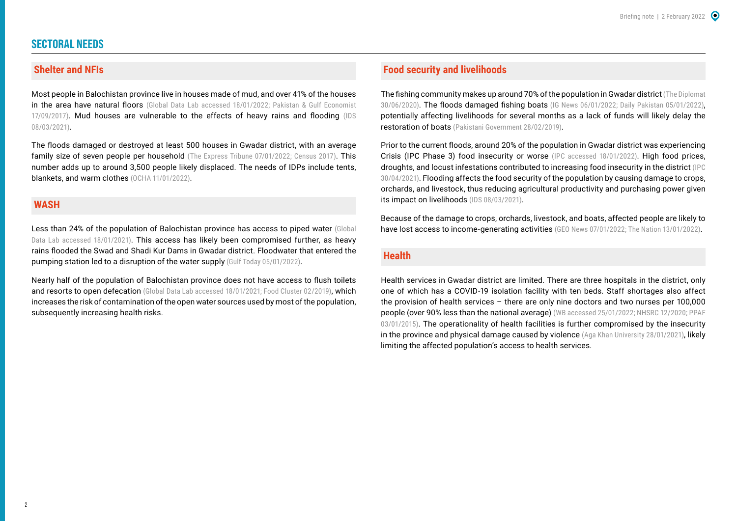#### **SECTORAL NEEDS**

#### **Shelter and NFIs**

Most people in Balochistan province live in houses made of mud, and over 41% of the houses in the area have natural floors ([Global Data Lab accessed 18/01/2022;](https://globaldatalab.org/profiles/region/PAKr104/) Pakistan & Gulf Economist [17/09/2017\)](https://www.pakistangulfeconomist.com/2017/09/11/growth-slum-areas-rise-balochistan/). Mud houses are vulnerable to the effects of heavy rains and flooding ([IDS](https://reliefweb.int/report/pakistan/helpdesk-report-k4d-areas-and-population-groups-pakistan-most-exposed-combined)  [08/03/2021\)](https://reliefweb.int/report/pakistan/helpdesk-report-k4d-areas-and-population-groups-pakistan-most-exposed-combined).

The floods damaged or destroyed at least 500 houses in Gwadar district, with an average family size of seven people per household ([The Express Tribune 07/01/2022;](https://tribune.com.pk/story/2337527/2478-families-hit-by-rains-floods-in-gwadar) [Census 2017](https://www.pbs.gov.pk/sites/default/files/population_census/census_2017_tables/balochistan/Table01p.pdf)). This number adds up to around 3,500 people likely displaced. The needs of IDPs include tents, blankets, and warm clothes ([OCHA 11/01/2022](https://reliefweb.int/report/philippines/asia-and-pacific-weekly-regional-humanitarian-snapshot-4-10-january-2022)).

#### **WASH**

Less than 24% of the population of Balochistan province has access to piped water (Global [Data Lab accessed 18/01/2021](https://globaldatalab.org/profiles/region/PAKr104/)). This access has likely been compromised further, as heavy rains flooded the Swad and Shadi Kur Dams in Gwadar district. Floodwater that entered the pumping station led to a disruption of the water supply [\(Gulf Today 05/01/2022](https://www.gulftoday.ae/news/2022/01/05/highways-inundated-power-supply-suspended-as-heavy-rain-pounds-balochistans-coastal-areas)).

Nearly half of the population of Balochistan province does not have access to flush toilets and resorts to open defecation [\(Global Data Lab accessed 18/01/2021](https://globaldatalab.org/profiles/region/PAKr104/); [Food Cluster 02/2019\)](https://fscluster.org/sites/default/files/documents/balochistan_drought_needs_assessment.pdf), which increases the risk of contamination of the open water sources used by most of the population, subsequently increasing health risks.

#### **Food security and livelihoods**

The fishing community makes up around 70% of the population in Gwadar district ([The Diplomat](https://thediplomat.com/2020/06/how-cpec-left-behind-the-people-of-gwadar/)  [30/06/2020](https://thediplomat.com/2020/06/how-cpec-left-behind-the-people-of-gwadar/)). The floods damaged fishing boats [\(IG News 06/01/2022](https://irshadgul.com/rains-wreak-havoc-in-balochistan-situation-worsens-in-many-districts/); [Daily Pakistan 05/01/2022](https://en.dailypakistan.com.pk/05-Jan-2022/army-steps-in-to-help-flood-affectees-as-heavy-rains-wreak-havoc-in-balochistan)), potentially affecting livelihoods for several months as a lack of funds will likely delay the restoration of boats [\(Pakistani Government 28/02/2019\)](https://reliefweb.int/report/pakistan/balochistan-drought-needs-assessment-bdna-report-february-2019).

Prior to the current floods, around 20% of the population in Gwadar district was experiencing Crisis (IPC Phase 3) food insecurity or worse [\(IPC accessed 18/01/2022](https://www.ipcinfo.org/ipc-country-analysis/details-map/en/c/1155374/)). High food prices, droughts, and locust infestations contributed to increasing food insecurity in the district ([IPC](https://fscluster.org/sites/default/files/documents/ipc_acute_food_insecurity_analysis-final_report-balochistan.pdf)  [30/04/2021\)](https://fscluster.org/sites/default/files/documents/ipc_acute_food_insecurity_analysis-final_report-balochistan.pdf). Flooding affects the food security of the population by causing damage to crops, orchards, and livestock, thus reducing agricultural productivity and purchasing power given its impact on livelihoods ([IDS 08/03/2021](https://reliefweb.int/report/pakistan/helpdesk-report-k4d-areas-and-population-groups-pakistan-most-exposed-combined)).

Because of the damage to crops, orchards, livestock, and boats, affected people are likely to have lost access to income-generating activities [\(GEO News 07/01/2022;](https://www.geo.tv/latest/392135-pak-army-navy-busy-in-rescue-operation-in-gwadar) [The Nation 13/01/2022](https://nation.com.pk/13-Jan-2022/relief-operation-continues-in-rain-affected-areas-under-pak-army-other-forces-langu)).

#### **Health**

Health services in Gwadar district are limited. There are three hospitals in the district, only one of which has a COVID-19 isolation facility with ten beds. Staff shortages also affect the provision of health services – there are only nine doctors and two nurses per 100,000 people (over 90% less than the national average) ([WB accessed 25/01/2022;](https://data.worldbank.org/indicator/SH.MED.PHYS.ZS?locations=PK) [NHSRC 12/2020;](https://storage.covid.gov.pk/facilities/List%20of%20Province-wise%20COVID-19%20Hospital%20Isolation%20Wards%20Pakistan.pdf) [PPAF](https://www.ppaf.org.pk/doc/programmes/Situational%20Analysis%20Report%20of%20PPR%20-%20District%20Profile%20Gwadar.pdf)  [03/01/2015](https://www.ppaf.org.pk/doc/programmes/Situational%20Analysis%20Report%20of%20PPR%20-%20District%20Profile%20Gwadar.pdf)). The operationality of health facilities is further compromised by the insecurity in the province and physical damage caused by violence [\(Aga Khan University 28/01/2021\)](https://www.aku.edu/news/Pages/News_Details.aspx?nid=NEWS-002439), likely limiting the affected population's access to health services.